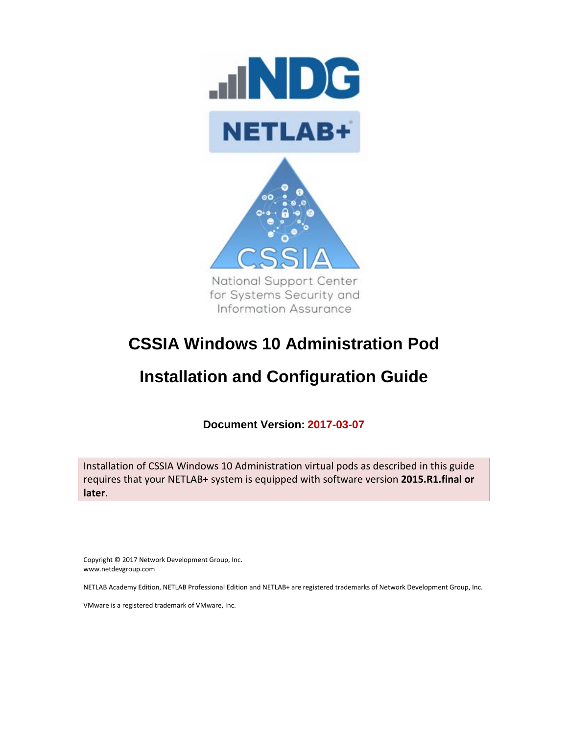

# **CSSIA Windows 10 Administration Pod**

# **Installation and Configuration Guide**

**Document Version: 2017-03-07**

Installation of CSSIA Windows 10 Administration virtual pods as described in this guide requires that your NETLAB+ system is equipped with software version **2015.R1.final or later**.

Copyright © 2017 Network Development Group, Inc. www.netdevgroup.com

NETLAB Academy Edition, NETLAB Professional Edition and NETLAB+ are registered trademarks of Network Development Group, Inc.

VMware is a registered trademark of VMware, Inc.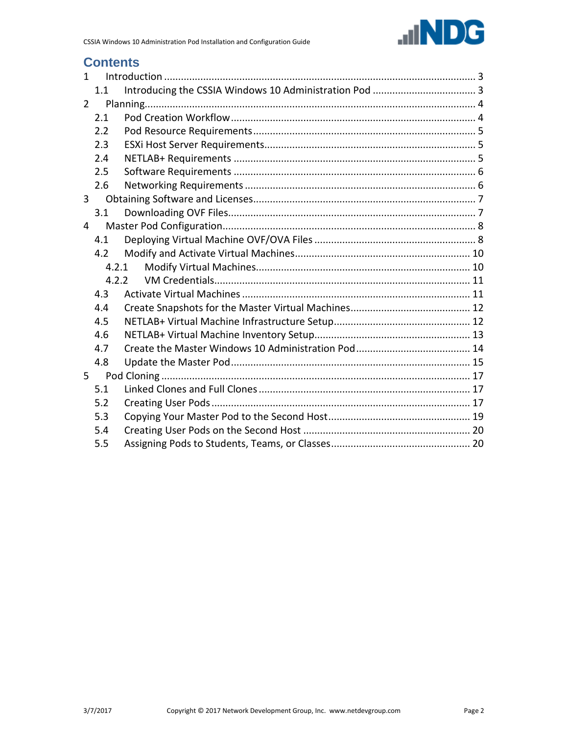

# **Contents**

| $\mathbf{1}$   |       |  |
|----------------|-------|--|
|                | 1.1   |  |
| $\overline{2}$ |       |  |
|                | 2.1   |  |
|                | 2.2   |  |
|                | 2.3   |  |
|                | 2.4   |  |
|                | 2.5   |  |
|                | 2.6   |  |
| $\overline{3}$ |       |  |
|                | 3.1   |  |
| 4              |       |  |
|                | 4.1   |  |
|                | 4.2   |  |
|                | 4.2.1 |  |
|                | 4.2.2 |  |
|                | 4.3   |  |
|                | 4.4   |  |
|                | 4.5   |  |
|                | 4.6   |  |
|                | 4.7   |  |
|                | 4.8   |  |
| 5              |       |  |
|                | 5.1   |  |
|                | 5.2   |  |
|                | 5.3   |  |
|                | 5.4   |  |
|                | 5.5   |  |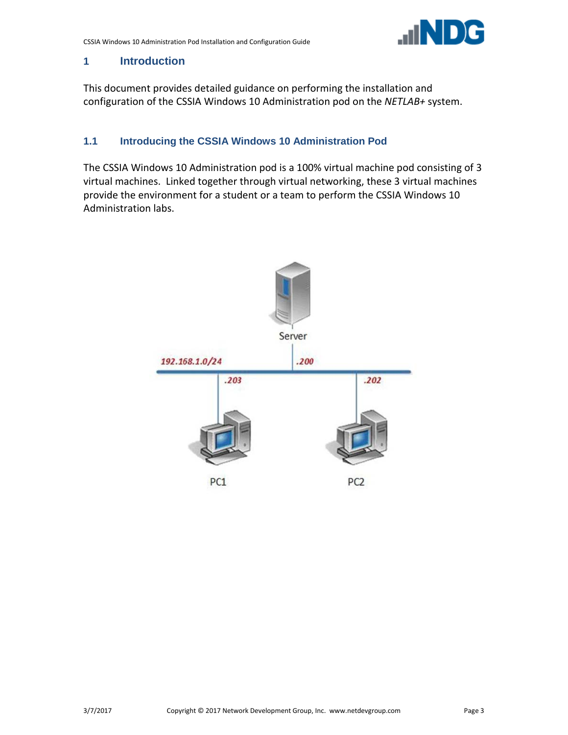

### <span id="page-2-0"></span>**1 Introduction**

This document provides detailed guidance on performing the installation and configuration of the CSSIA Windows 10 Administration pod on the *NETLAB+* system.

# <span id="page-2-1"></span>**1.1 Introducing the CSSIA Windows 10 Administration Pod**

The CSSIA Windows 10 Administration pod is a 100% virtual machine pod consisting of 3 virtual machines. Linked together through virtual networking, these 3 virtual machines provide the environment for a student or a team to perform the CSSIA Windows 10 Administration labs.

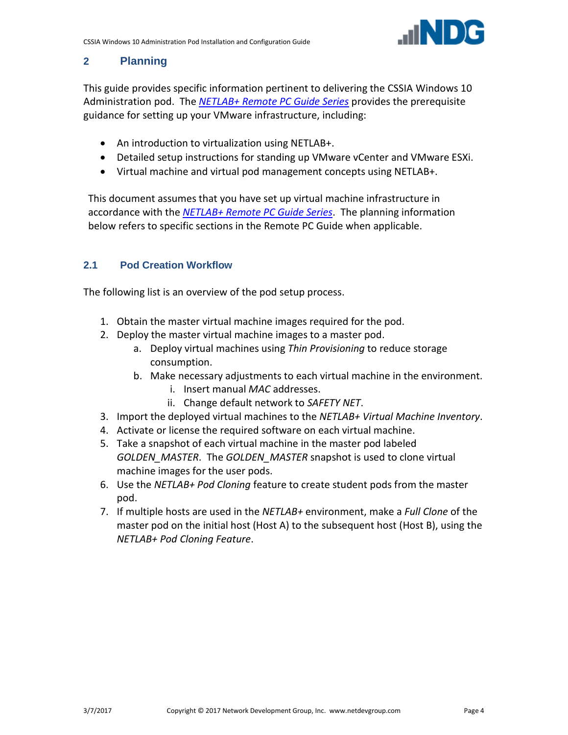

# <span id="page-3-0"></span>**2 Planning**

This guide provides specific information pertinent to delivering the CSSIA Windows 10 Administration pod. The *[NETLAB+ Remote PC Guide Series](http://www.netdevgroup.com/support/documentation)* provides the prerequisite guidance for setting up your VMware infrastructure, including:

- An introduction to virtualization using NETLAB+.
- Detailed setup instructions for standing up VMware vCenter and VMware ESXi.
- Virtual machine and virtual pod management concepts using NETLAB+.

This document assumes that you have set up virtual machine infrastructure in accordance with the *[NETLAB+ Remote PC Guide Series](http://www.netdevgroup.com/support/documentation)*. The planning information below refers to specific sections in the Remote PC Guide when applicable.

# <span id="page-3-1"></span>**2.1 Pod Creation Workflow**

The following list is an overview of the pod setup process.

- 1. Obtain the master virtual machine images required for the pod.
- 2. Deploy the master virtual machine images to a master pod.
	- a. Deploy virtual machines using *Thin Provisioning* to reduce storage consumption.
	- b. Make necessary adjustments to each virtual machine in the environment.
		- i. Insert manual *MAC* addresses.
		- ii. Change default network to *SAFETY NET*.
- 3. Import the deployed virtual machines to the *NETLAB+ Virtual Machine Inventory*.
- 4. Activate or license the required software on each virtual machine.
- 5. Take a snapshot of each virtual machine in the master pod labeled *GOLDEN\_MASTER*. The *GOLDEN\_MASTER* snapshot is used to clone virtual machine images for the user pods.
- 6. Use the *NETLAB+ Pod Cloning* feature to create student pods from the master pod.
- 7. If multiple hosts are used in the *NETLAB+* environment, make a *Full Clone* of the master pod on the initial host (Host A) to the subsequent host (Host B), using the *NETLAB+ Pod Cloning Feature*.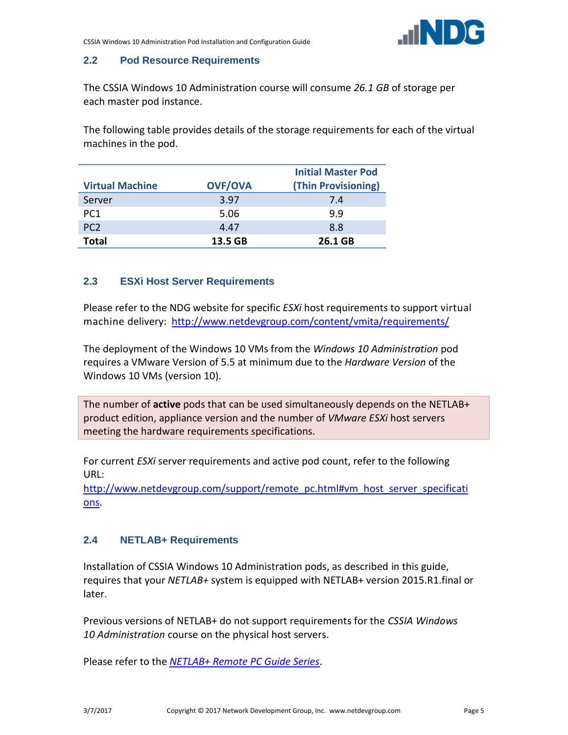

#### <span id="page-4-0"></span>**2.2 Pod Resource Requirements**

The CSSIA Windows 10 Administration course will consume *26.1 GB* of storage per each master pod instance.

The following table provides details of the storage requirements for each of the virtual machines in the pod.

| <b>Virtual Machine</b> | <b>OVF/OVA</b> | <b>Initial Master Pod</b><br>(Thin Provisioning) |
|------------------------|----------------|--------------------------------------------------|
| Server                 | 3.97           | 7.4                                              |
| PC <sub>1</sub>        | 5.06           | 9.9                                              |
| PC <sub>2</sub>        | 4.47           | 8.8                                              |
| Total                  | 13.5 GB        | 26.1 GB                                          |

#### <span id="page-4-1"></span>**2.3 ESXi Host Server Requirements**

Please refer to the NDG website for specific *ESXi* host requirements to support virtual machine delivery: <http://www.netdevgroup.com/content/vmita/requirements/>

The deployment of the Windows 10 VMs from the *Windows 10 Administration* pod requires a VMware Version of 5.5 at minimum due to the *Hardware Version* of the Windows 10 VMs (version 10).

The number of **active** pods that can be used simultaneously depends on the NETLAB+ product edition, appliance version and the number of *VMware ESXi* host servers meeting the hardware requirements specifications.

For current *ESXi* server requirements and active pod count, refer to the following URL:

[http://www.netdevgroup.com/support/remote\\_pc.html#vm\\_host\\_server\\_specificati](http://www.netdevgroup.com/support/remote_pc.html#vm_host_server_specifications) [ons.](http://www.netdevgroup.com/support/remote_pc.html#vm_host_server_specifications)

#### <span id="page-4-2"></span>**2.4 NETLAB+ Requirements**

Installation of CSSIA Windows 10 Administration pods, as described in this guide, requires that your *NETLAB+* system is equipped with NETLAB+ version 2015.R1.final or later.

Previous versions of NETLAB+ do not support requirements for the *CSSIA Windows 10 Administration* course on the physical host servers.

Please refer to the *[NETLAB+ Remote PC Guide Series](http://www.netdevgroup.com/support/documentation)*.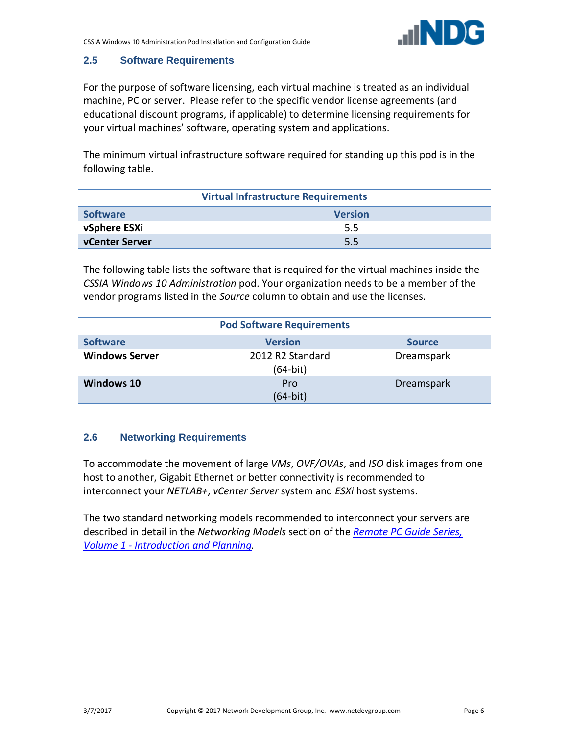#### <span id="page-5-0"></span>**2.5 Software Requirements**

For the purpose of software licensing, each virtual machine is treated as an individual machine, PC or server. Please refer to the specific vendor license agreements (and educational discount programs, if applicable) to determine licensing requirements for your virtual machines' software, operating system and applications.

The minimum virtual infrastructure software required for standing up this pod is in the following table.

|                                   | <b>Virtual Infrastructure Requirements</b> |
|-----------------------------------|--------------------------------------------|
| <b>Software</b><br><b>Version</b> |                                            |
| vSphere ESXi                      | 5.5                                        |
| vCenter Server                    | 5.5                                        |

The following table lists the software that is required for the virtual machines inside the *CSSIA Windows 10 Administration* pod. Your organization needs to be a member of the vendor programs listed in the *Source* column to obtain and use the licenses.

|                       | <b>Pod Software Requirements</b> |               |  |
|-----------------------|----------------------------------|---------------|--|
| <b>Software</b>       | <b>Version</b>                   | <b>Source</b> |  |
| <b>Windows Server</b> | 2012 R2 Standard<br>(64-bit)     | Dreamspark    |  |
| <b>Windows 10</b>     | Pro<br>(64-bit)                  | Dreamspark    |  |

#### <span id="page-5-1"></span>**2.6 Networking Requirements**

To accommodate the movement of large *VMs*, *OVF/OVAs*, and *ISO* disk images from one host to another, Gigabit Ethernet or better connectivity is recommended to interconnect your *NETLAB+*, *vCenter Server* system and *ESXi* host systems.

The two standard networking models recommended to interconnect your servers are described in detail in the *Networking Models* section of the *[Remote PC Guide Series,](http://www.netdevgroup.com/support/documentation/NETLAB_Remote_PC_Guide_Vol_1_Introduction.pdf)  Volume 1 - [Introduction and Planning.](http://www.netdevgroup.com/support/documentation/NETLAB_Remote_PC_Guide_Vol_1_Introduction.pdf)*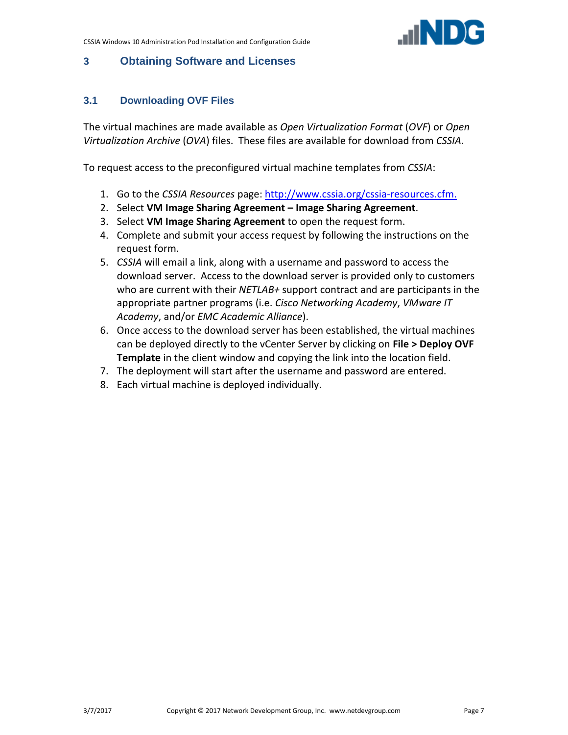

# <span id="page-6-0"></span>**3 Obtaining Software and Licenses**

# <span id="page-6-1"></span>**3.1 Downloading OVF Files**

The virtual machines are made available as *Open Virtualization Format* (*OVF*) or *Open Virtualization Archive* (*OVA*) files. These files are available for download from *CSSIA*.

To request access to the preconfigured virtual machine templates from *CSSIA*:

- 1. Go to the *CSSIA Resources* page: [http://www.cssia.org/cssia-resources.cfm.](http://www.cssia.org/cssia-resources.cfm)
- 2. Select **VM Image Sharing Agreement – Image Sharing Agreement**.
- 3. Select **VM Image Sharing Agreement** to open the request form.
- 4. Complete and submit your access request by following the instructions on the request form.
- 5. *CSSIA* will email a link, along with a username and password to access the download server. Access to the download server is provided only to customers who are current with their *NETLAB+* support contract and are participants in the appropriate partner programs (i.e. *Cisco Networking Academy*, *VMware IT Academy*, and/or *EMC Academic Alliance*).
- 6. Once access to the download server has been established, the virtual machines can be deployed directly to the vCenter Server by clicking on **File > Deploy OVF Template** in the client window and copying the link into the location field.
- 7. The deployment will start after the username and password are entered.
- 8. Each virtual machine is deployed individually.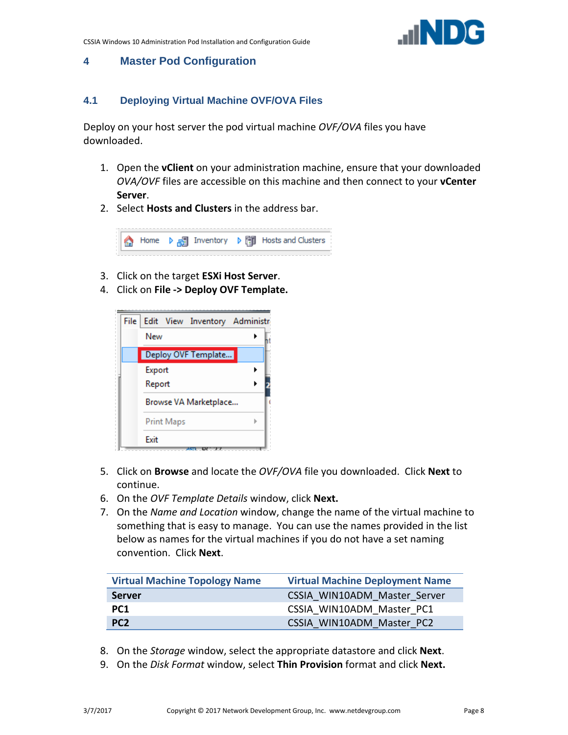

# <span id="page-7-0"></span>**4 Master Pod Configuration**

### <span id="page-7-1"></span>**4.1 Deploying Virtual Machine OVF/OVA Files**

Deploy on your host server the pod virtual machine *OVF/OVA* files you have downloaded.

- 1. Open the **vClient** on your administration machine, ensure that your downloaded *OVA/OVF* files are accessible on this machine and then connect to your **vCenter Server**.
- 2. Select **Hosts and Clusters** in the address bar.



- 3. Click on the target **ESXi Host Server**.
- 4. Click on **File -> Deploy OVF Template.**



- 5. Click on **Browse** and locate the *OVF/OVA* file you downloaded. Click **Next** to continue.
- 6. On the *OVF Template Details* window, click **Next.**
- 7. On the *Name and Location* window, change the name of the virtual machine to something that is easy to manage. You can use the names provided in the list below as names for the virtual machines if you do not have a set naming convention. Click **Next**.

| <b>Virtual Machine Topology Name</b> | <b>Virtual Machine Deployment Name</b> |
|--------------------------------------|----------------------------------------|
| <b>Server</b>                        | CSSIA WIN10ADM Master Server           |
| PC <sub>1</sub>                      | CSSIA WIN10ADM Master PC1              |
| PC <sub>2</sub>                      | CSSIA WIN10ADM Master PC2              |

- 8. On the *Storage* window, select the appropriate datastore and click **Next**.
- 9. On the *Disk Format* window, select **Thin Provision** format and click **Next.**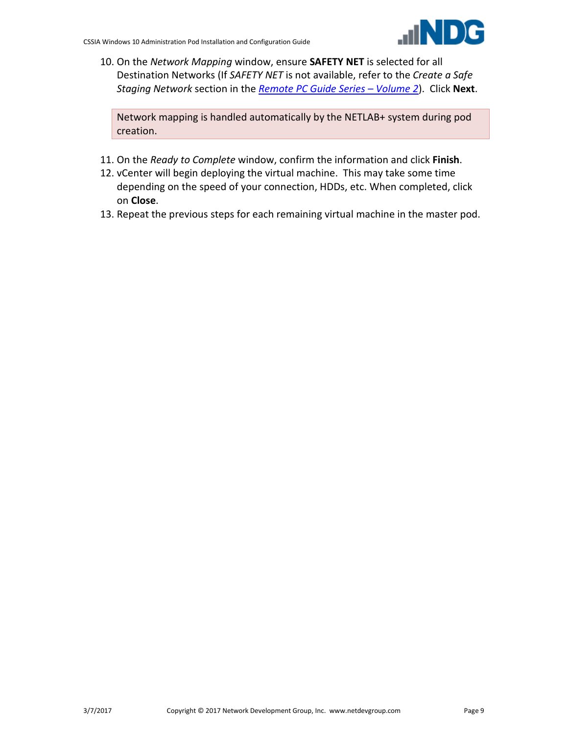

10. On the *Network Mapping* window, ensure **SAFETY NET** is selected for all Destination Networks (If *SAFETY NET* is not available, refer to the *Create a Safe Staging Network* section in the *[Remote PC Guide Series –](http://www.netdevgroup.com/support/documentation/NETLAB_Remote_PC_Guide_Vol_2_Installation.pdf) Volume 2*). Click **Next**.

Network mapping is handled automatically by the NETLAB+ system during pod creation.

- 11. On the *Ready to Complete* window, confirm the information and click **Finish**.
- 12. vCenter will begin deploying the virtual machine. This may take some time depending on the speed of your connection, HDDs, etc. When completed, click on **Close**.
- 13. Repeat the previous steps for each remaining virtual machine in the master pod.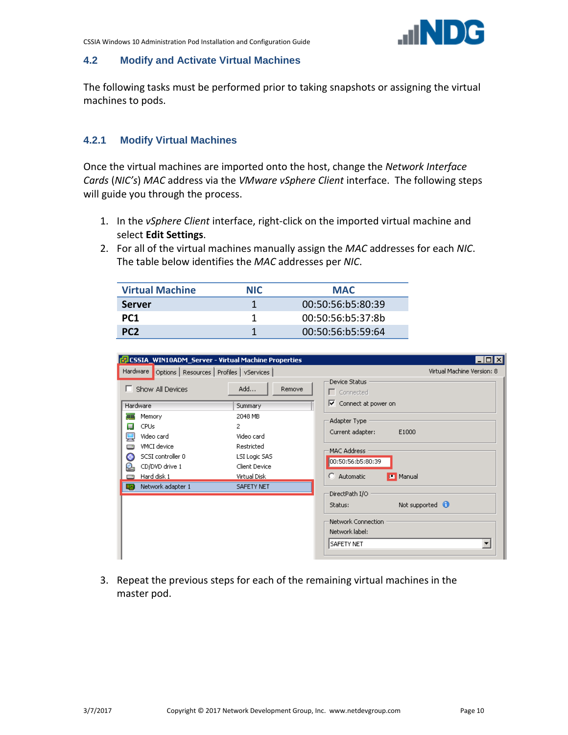

#### <span id="page-9-0"></span>**4.2 Modify and Activate Virtual Machines**

The following tasks must be performed prior to taking snapshots or assigning the virtual machines to pods.

### <span id="page-9-1"></span>**4.2.1 Modify Virtual Machines**

Once the virtual machines are imported onto the host, change the *Network Interface Cards* (*NIC's*) *MAC* address via the *VMware vSphere Client* interface. The following steps will guide you through the process.

- 1. In the *vSphere Client* interface, right-click on the imported virtual machine and select **Edit Settings**.
- 2. For all of the virtual machines manually assign the *MAC* addresses for each *NIC*. The table below identifies the *MAC* addresses per *NIC*.

| <b>Virtual Machine</b> | <b>NIC</b> | <b>MAC</b>        |
|------------------------|------------|-------------------|
| <b>Server</b>          |            | 00:50:56:b5:80:39 |
| PC <sub>1</sub>        |            | 00:50:56:65:37:8h |
| PC <sub>2</sub>        |            | 00:50:56:b5:59:64 |

| CSSIA_WIN10ADM_Server - Virtual Machine Properties<br>Hardware<br>Options   Resources   Profiles   vServices                                  |                                                                                                              | $\Box$ $\Box$ $\times$<br>Virtual Machine Version: 8                                                                                         |
|-----------------------------------------------------------------------------------------------------------------------------------------------|--------------------------------------------------------------------------------------------------------------|----------------------------------------------------------------------------------------------------------------------------------------------|
| Show All Devices                                                                                                                              | Add<br>Remove                                                                                                | <b>Device Status</b><br>$\Gamma$ Connected                                                                                                   |
| <b>Hardware</b><br>Memory<br>TITI<br><b>CPUs</b><br>О<br>Video card<br>VMCI device<br>SCSI controller 0<br>c<br>CD/DVD drive 1<br>Hard disk 1 | <b>Summary</b><br>2048 MB<br>2<br>Video card<br>Restricted<br>LSI Logic SAS<br>Client Device<br>Virtual Disk | ⊽.<br>Connect at power on<br>Adapter Type<br>Current adapter:<br>E1000<br>MAC Address<br>00:50:56:b5:80:39<br><b>Manual</b><br>$C$ Automatic |
| Network adapter 1<br>щę                                                                                                                       | <b>SAFETY NET</b>                                                                                            | DirectPath I/O<br>Not supported $\bigcirc$<br>Status:<br>Network Connection<br>Network label:<br>$\blacktriangledown$<br>SAFETY NET          |

3. Repeat the previous steps for each of the remaining virtual machines in the master pod.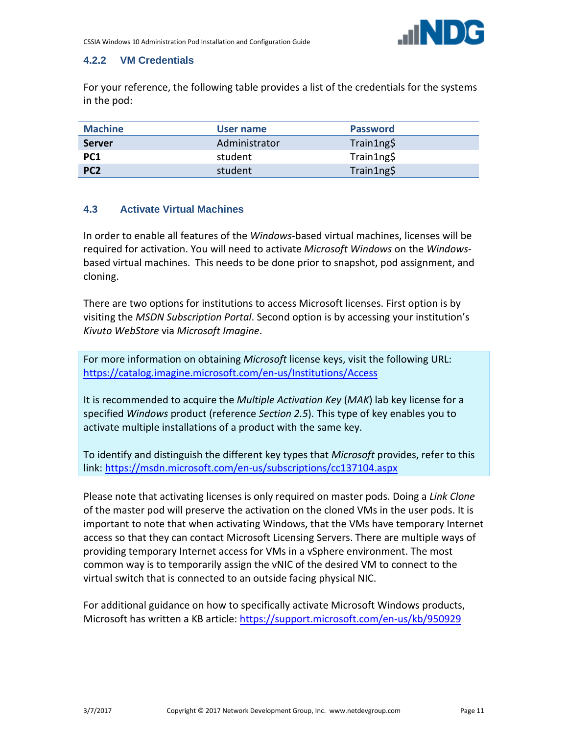

#### <span id="page-10-0"></span>**4.2.2 VM Credentials**

For your reference, the following table provides a list of the credentials for the systems in the pod:

| <b>Machine</b>  | User name     | <b>Password</b> |
|-----------------|---------------|-----------------|
| <b>Server</b>   | Administrator | Train1ng\$      |
| PC <sub>1</sub> | student       | Train1ng\$      |
| PC <sub>2</sub> | student       | Train1ng\$      |

### <span id="page-10-1"></span>**4.3 Activate Virtual Machines**

In order to enable all features of the *Windows*-based virtual machines, licenses will be required for activation. You will need to activate *Microsoft Windows* on the *Windows*based virtual machines. This needs to be done prior to snapshot, pod assignment, and cloning.

There are two options for institutions to access Microsoft licenses. First option is by visiting the *MSDN Subscription Portal*. Second option is by accessing your institution's *Kivuto WebStore* via *Microsoft Imagine*.

For more information on obtaining *Microsoft* license keys, visit the following URL: <https://catalog.imagine.microsoft.com/en-us/Institutions/Access>

It is recommended to acquire the *Multiple Activation Key* (*MAK*) lab key license for a specified *Windows* product (reference *Section 2.5*). This type of key enables you to activate multiple installations of a product with the same key.

To identify and distinguish the different key types that *Microsoft* provides, refer to this link:<https://msdn.microsoft.com/en-us/subscriptions/cc137104.aspx>

Please note that activating licenses is only required on master pods. Doing a *Link Clone* of the master pod will preserve the activation on the cloned VMs in the user pods. It is important to note that when activating Windows, that the VMs have temporary Internet access so that they can contact Microsoft Licensing Servers. There are multiple ways of providing temporary Internet access for VMs in a vSphere environment. The most common way is to temporarily assign the vNIC of the desired VM to connect to the virtual switch that is connected to an outside facing physical NIC.

For additional guidance on how to specifically activate Microsoft Windows products, Microsoft has written a KB article:<https://support.microsoft.com/en-us/kb/950929>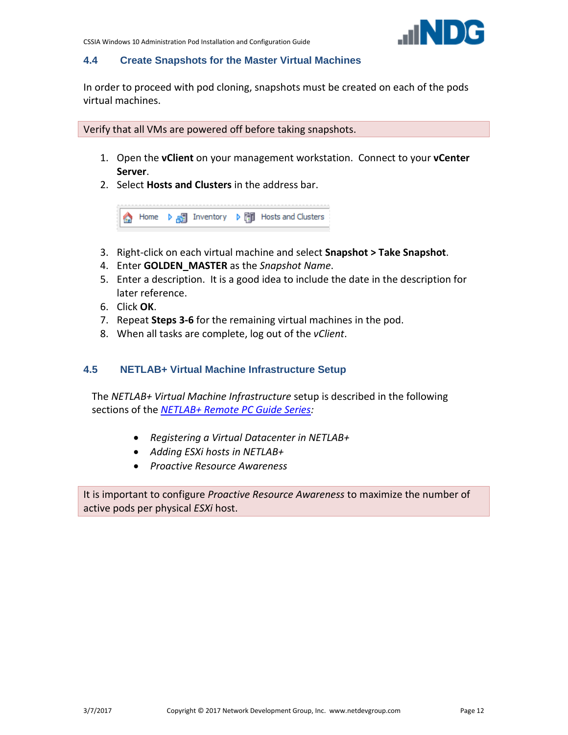#### <span id="page-11-0"></span>**4.4 Create Snapshots for the Master Virtual Machines**

In order to proceed with pod cloning, snapshots must be created on each of the pods virtual machines.

Verify that all VMs are powered off before taking snapshots.

- 1. Open the **vClient** on your management workstation. Connect to your **vCenter Server**.
- 2. Select **Hosts and Clusters** in the address bar.

Home  $\triangleright$   $\mathbf{F}$  Inventory  $\triangleright$   $\mathbf{F}$  Hosts and Clusters €

- 3. Right-click on each virtual machine and select **Snapshot > Take Snapshot**.
- 4. Enter **GOLDEN\_MASTER** as the *Snapshot Name*.
- 5. Enter a description. It is a good idea to include the date in the description for later reference.
- 6. Click **OK**.
- 7. Repeat **Steps 3-6** for the remaining virtual machines in the pod.
- 8. When all tasks are complete, log out of the *vClient*.

#### <span id="page-11-1"></span>**4.5 NETLAB+ Virtual Machine Infrastructure Setup**

The *NETLAB+ Virtual Machine Infrastructure* setup is described in the following sections of the *[NETLAB+ Remote PC Guide Series:](http://www.netdevgroup.com/support/documentation)*

- *Registering a Virtual Datacenter in NETLAB+*
- *Adding ESXi hosts in NETLAB+*
- *Proactive Resource Awareness*

It is important to configure *Proactive Resource Awareness* to maximize the number of active pods per physical *ESXi* host.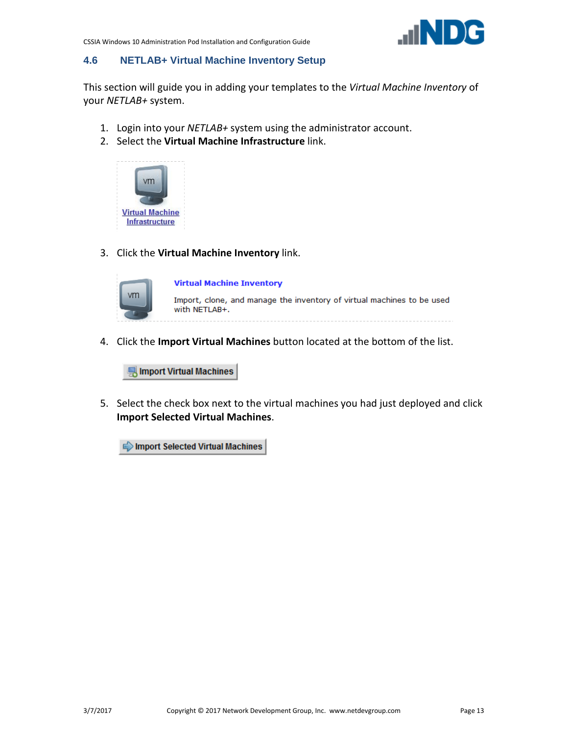

#### <span id="page-12-0"></span>**4.6 NETLAB+ Virtual Machine Inventory Setup**

This section will guide you in adding your templates to the *Virtual Machine Inventory* of your *NETLAB+* system.

- 1. Login into your *NETLAB+* system using the administrator account.
- 2. Select the **Virtual Machine Infrastructure** link.



3. Click the **Virtual Machine Inventory** link.



**Virtual Machine Inventory** 

Import, clone, and manage the inventory of virtual machines to be used with NETLAB+.

4. Click the **Import Virtual Machines** button located at the bottom of the list.

Import Virtual Machines

5. Select the check box next to the virtual machines you had just deployed and click **Import Selected Virtual Machines**.

Import Selected Virtual Machines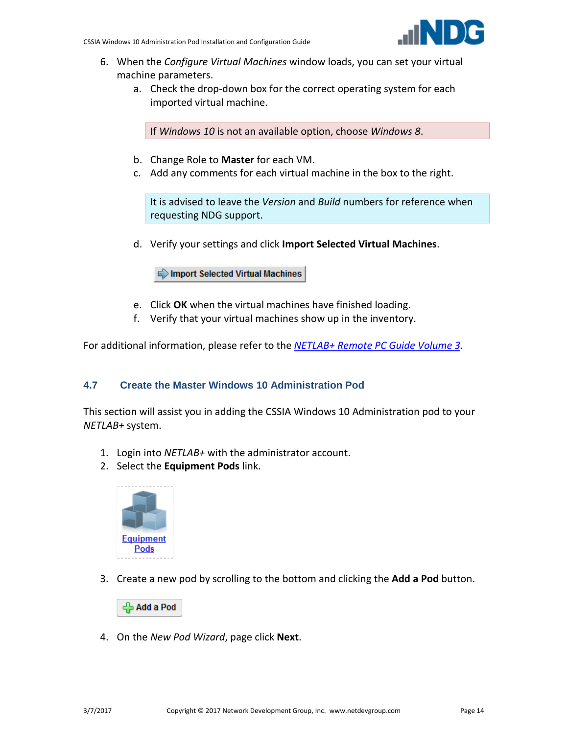

- 6. When the *Configure Virtual Machines* window loads, you can set your virtual machine parameters.
	- a. Check the drop-down box for the correct operating system for each imported virtual machine.

If *Windows 10* is not an available option, choose *Windows 8*.

- b. Change Role to **Master** for each VM.
- c. Add any comments for each virtual machine in the box to the right.

It is advised to leave the *Version* and *Build* numbers for reference when requesting NDG support.

d. Verify your settings and click **Import Selected Virtual Machines**.

Import Selected Virtual Machines

- e. Click **OK** when the virtual machines have finished loading.
- f. Verify that your virtual machines show up in the inventory.

For additional information, please refer to the *[NETLAB+ Remote PC Guide Volume 3](http://www.netdevgroup.com/support/documentation/NETLAB_Remote_PC_Guide_Vol_3_Configuring.pdf)*.

# <span id="page-13-0"></span>**4.7 Create the Master Windows 10 Administration Pod**

This section will assist you in adding the CSSIA Windows 10 Administration pod to your *NETLAB+* system.

- 1. Login into *NETLAB+* with the administrator account.
- 2. Select the **Equipment Pods** link.



3. Create a new pod by scrolling to the bottom and clicking the **Add a Pod** button.

ep Add a Pod

4. On the *New Pod Wizard*, page click **Next**.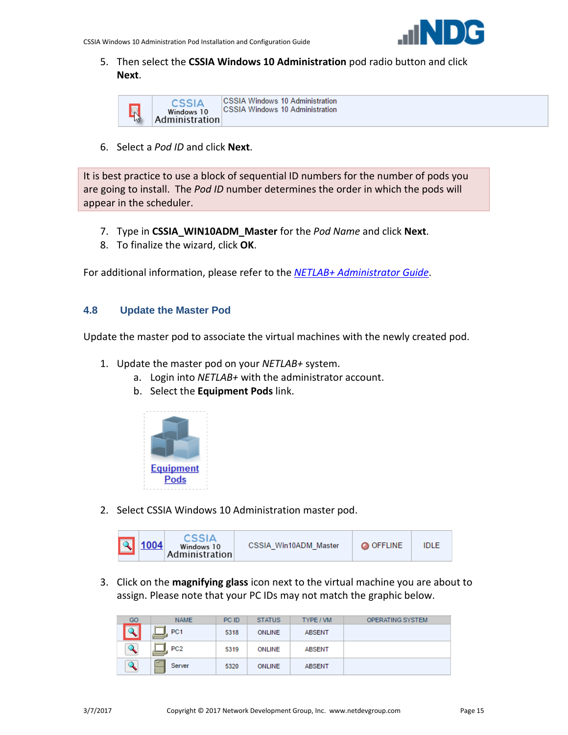

5. Then select the **CSSIA Windows 10 Administration** pod radio button and click **Next**.



6. Select a *Pod ID* and click **Next**.

It is best practice to use a block of sequential ID numbers for the number of pods you are going to install. The *Pod ID* number determines the order in which the pods will appear in the scheduler.

- 7. Type in **CSSIA\_WIN10ADM\_Master** for the *Pod Name* and click **Next**.
- 8. To finalize the wizard, click **OK**.

For additional information, please refer to the *[NETLAB+ Administrator Guide](http://www.netdevgroup.com/support/documentation/NETLAB_Administrator_Guide.pdf)*.

### <span id="page-14-0"></span>**4.8 Update the Master Pod**

Update the master pod to associate the virtual machines with the newly created pod.

- 1. Update the master pod on your *NETLAB+* system.
	- a. Login into *NETLAB+* with the administrator account.
	- b. Select the **Equipment Pods** link.



2. Select CSSIA Windows 10 Administration master pod.

|  | $\sqrt{2}$ 1004 | CSSIA<br>Windows 10<br>Administration | CSSIA Win10ADM Master | <b>O OFFLINE</b> | <b>IDLE</b> |  |
|--|-----------------|---------------------------------------|-----------------------|------------------|-------------|--|
|--|-----------------|---------------------------------------|-----------------------|------------------|-------------|--|

3. Click on the **magnifying glass** icon next to the virtual machine you are about to assign. Please note that your PC IDs may not match the graphic below.

| GO | <b>NAME</b>           | PC ID | <b>STATUS</b> | TYPE / VM     | <b>OPERATING SYSTEM</b> |
|----|-----------------------|-------|---------------|---------------|-------------------------|
| ↽  | PC <sub>1</sub><br>-  | 5318  | ONLINE        | <b>ABSENT</b> |                         |
|    | PC <sub>2</sub>       | 5319  | <b>ONLINE</b> | <b>ABSENT</b> |                         |
|    | <b>Card</b><br>Server | 5320  | <b>ONLINE</b> | <b>ABSENT</b> |                         |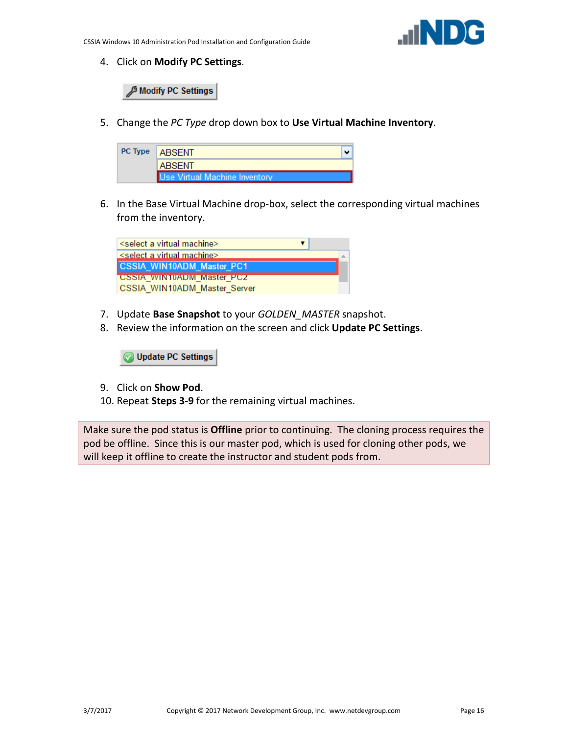4. Click on **Modify PC Settings**.

**B Modify PC Settings** 

5. Change the *PC Type* drop down box to **Use Virtual Machine Inventory**.

| PC Type   ABSENT              |  |
|-------------------------------|--|
| <b>ABSENT</b>                 |  |
| Use Virtual Machine Inventory |  |

6. In the Base Virtual Machine drop-box, select the corresponding virtual machines from the inventory.

| <select a="" machine="" virtual=""></select> |
|----------------------------------------------|
| select a virtual machine>                    |
| <b>CSSIA WIN10ADM Master PC1</b>             |
| <b>CSSIA WINTUADM Master PCZ</b>             |
| CSSIA WIN10ADM Master Server                 |

- 7. Update **Base Snapshot** to your *GOLDEN\_MASTER* snapshot.
- 8. Review the information on the screen and click **Update PC Settings**.

**Update PC Settings** 

- 9. Click on **Show Pod**.
- 10. Repeat **Steps 3-9** for the remaining virtual machines.

Make sure the pod status is **Offline** prior to continuing. The cloning process requires the pod be offline. Since this is our master pod, which is used for cloning other pods, we will keep it offline to create the instructor and student pods from.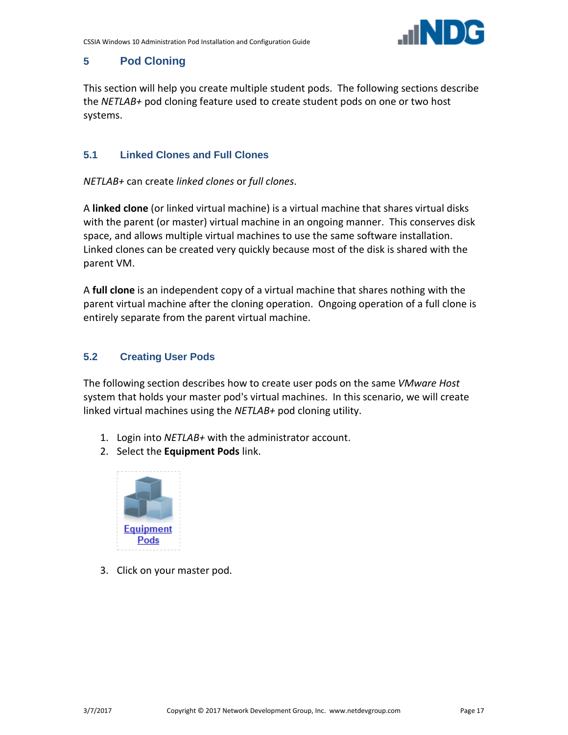

# <span id="page-16-0"></span>**5 Pod Cloning**

This section will help you create multiple student pods. The following sections describe the *NETLAB+* pod cloning feature used to create student pods on one or two host systems.

# <span id="page-16-1"></span>**5.1 Linked Clones and Full Clones**

*NETLAB+* can create *linked clones* or *full clones*.

A **linked clone** (or linked virtual machine) is a virtual machine that shares virtual disks with the parent (or master) virtual machine in an ongoing manner. This conserves disk space, and allows multiple virtual machines to use the same software installation. Linked clones can be created very quickly because most of the disk is shared with the parent VM.

A **full clone** is an independent copy of a virtual machine that shares nothing with the parent virtual machine after the cloning operation. Ongoing operation of a full clone is entirely separate from the parent virtual machine.

# <span id="page-16-2"></span>**5.2 Creating User Pods**

The following section describes how to create user pods on the same *VMware Host* system that holds your master pod's virtual machines. In this scenario, we will create linked virtual machines using the *NETLAB+* pod cloning utility.

- 1. Login into *NETLAB+* with the administrator account.
- 2. Select the **Equipment Pods** link.



3. Click on your master pod.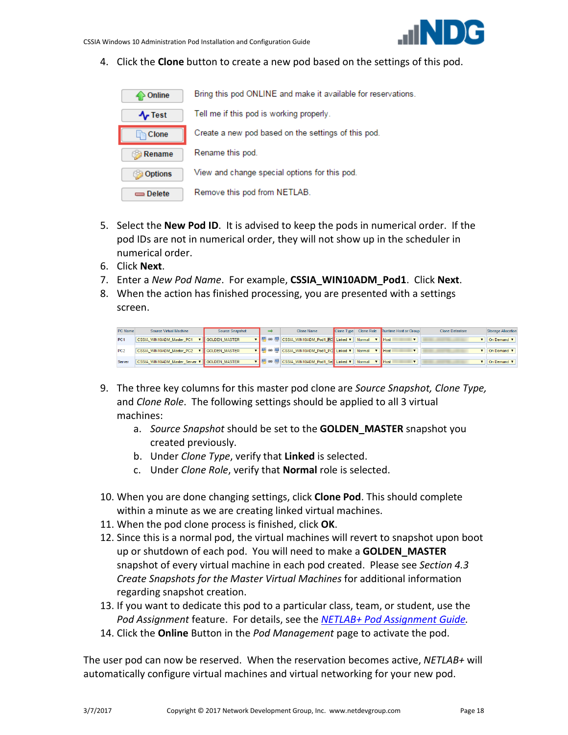

4. Click the **Clone** button to create a new pod based on the settings of this pod.

| Online         | Bring this pod ONLINE and make it available for reservations. |
|----------------|---------------------------------------------------------------|
| $\sim$ Test    | Tell me if this pod is working properly.                      |
| Clone          | Create a new pod based on the settings of this pod.           |
| Rename         | Rename this pod.                                              |
| <b>Options</b> | View and change special options for this pod.                 |
| Delete         | Remove this pod from NETLAB.                                  |

- 5. Select the **New Pod ID**. It is advised to keep the pods in numerical order. If the pod IDs are not in numerical order, they will not show up in the scheduler in numerical order.
- 6. Click **Next**.
- 7. Enter a *New Pod Name*. For example, **CSSIA\_WIN10ADM\_Pod1**. Click **Next**.
- 8. When the action has finished processing, you are presented with a settings screen.

| PC Name | Source Virtual Machine                              | Source Snapshot        | Clone Name                                |        | <b>Clone Type Clone Role</b> Runtime Host or Group | <b>Clone Datastore</b> | Storage Allocation |
|---------|-----------------------------------------------------|------------------------|-------------------------------------------|--------|----------------------------------------------------|------------------------|--------------------|
| PC1     | CSSIA WIN10ADM Master PC1                           | <b>V</b> GOLDEN MASTER | ▼   ■ ∞ ■ CSSIA WIN10ADM Pod1 PC Linked ▼ | Normal | $V$ Host                                           |                        | Il On Demand V     |
| PC2     | CSSIA WIN10ADM Master PC2                           | <b>GOLDEN MASTER</b>   | ▼ 9 89 9 CSSIA_WIN10ADM_Pod1_PC Linked ▼  | Normal | $\mathbf{v}$ Host                                  |                        | On Demand V        |
| Server  | CSSIA WIN10ADM Master Server <b>V</b> GOLDEN MASTER |                        | ▼ 9 89 9 CSSIA WIN10ADM Pod1 Se Linked ▼  | Normal | <b>Host</b>                                        |                        | Il On Demand V     |

- 9. The three key columns for this master pod clone are *Source Snapshot, Clone Type,* and *Clone Role*. The following settings should be applied to all 3 virtual machines:
	- a. *Source Snapshot* should be set to the **GOLDEN\_MASTER** snapshot you created previously.
	- b. Under *Clone Type*, verify that **Linked** is selected.
	- c. Under *Clone Role*, verify that **Normal** role is selected.
- 10. When you are done changing settings, click **Clone Pod**. This should complete within a minute as we are creating linked virtual machines.
- 11. When the pod clone process is finished, click **OK**.
- 12. Since this is a normal pod, the virtual machines will revert to snapshot upon boot up or shutdown of each pod. You will need to make a **GOLDEN\_MASTER** snapshot of every virtual machine in each pod created. Please see *Section [4.3](#page-10-1) [Create Snapshots for the Master Virtual Machines](#page-10-1)* for additional information regarding snapshot creation.
- 13. If you want to dedicate this pod to a particular class, team, or student, use the *Pod Assignment* feature. For details, see the *[NETLAB+ Pod Assignment Guide.](http://www.netdevgroup.com/support/documentation/NETLAB_Pod_Assignment.pdf)*
- 14. Click the **Online** Button in the *Pod Management* page to activate the pod.

The user pod can now be reserved. When the reservation becomes active, *NETLAB+* will automatically configure virtual machines and virtual networking for your new pod.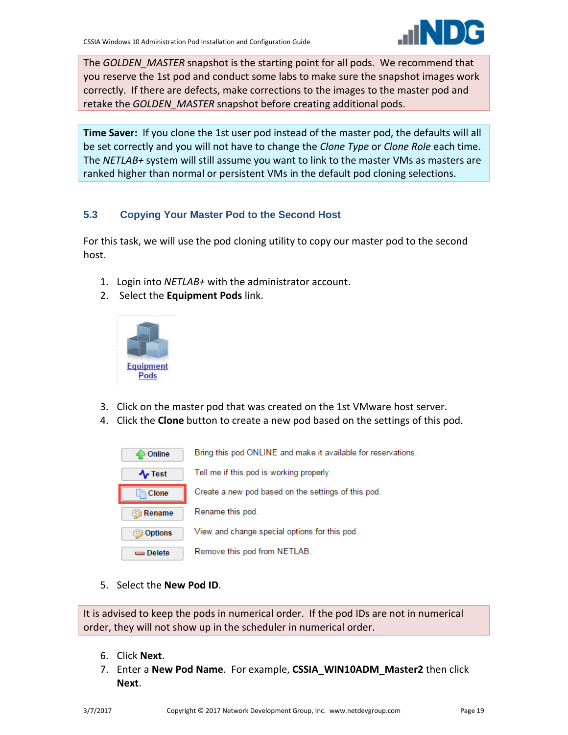

The *GOLDEN\_MASTER* snapshot is the starting point for all pods. We recommend that you reserve the 1st pod and conduct some labs to make sure the snapshot images work correctly. If there are defects, make corrections to the images to the master pod and retake the *GOLDEN\_MASTER* snapshot before creating additional pods.

**Time Saver:** If you clone the 1st user pod instead of the master pod, the defaults will all be set correctly and you will not have to change the *Clone Type* or *Clone Role* each time. The *NETLAB+* system will still assume you want to link to the master VMs as masters are ranked higher than normal or persistent VMs in the default pod cloning selections.

# <span id="page-18-0"></span>**5.3 Copying Your Master Pod to the Second Host**

For this task, we will use the pod cloning utility to copy our master pod to the second host.

- 1. Login into *NETLAB+* with the administrator account.
- 2. Select the **Equipment Pods** link.



- 3. Click on the master pod that was created on the 1st VMware host server.
- 4. Click the **Clone** button to create a new pod based on the settings of this pod.

| Online         | Bring this pod ONLINE and make it available for reservations. |
|----------------|---------------------------------------------------------------|
| $\sim$ Test    | Tell me if this pod is working properly.                      |
| Clone          | Create a new pod based on the settings of this pod.           |
|                |                                                               |
| Rename         | Rename this pod.                                              |
| <b>Options</b> | View and change special options for this pod.                 |

5. Select the **New Pod ID**.

It is advised to keep the pods in numerical order. If the pod IDs are not in numerical order, they will not show up in the scheduler in numerical order.

- 6. Click **Next**.
- 7. Enter a **New Pod Name**. For example, **CSSIA\_WIN10ADM\_Master2** then click **Next**.